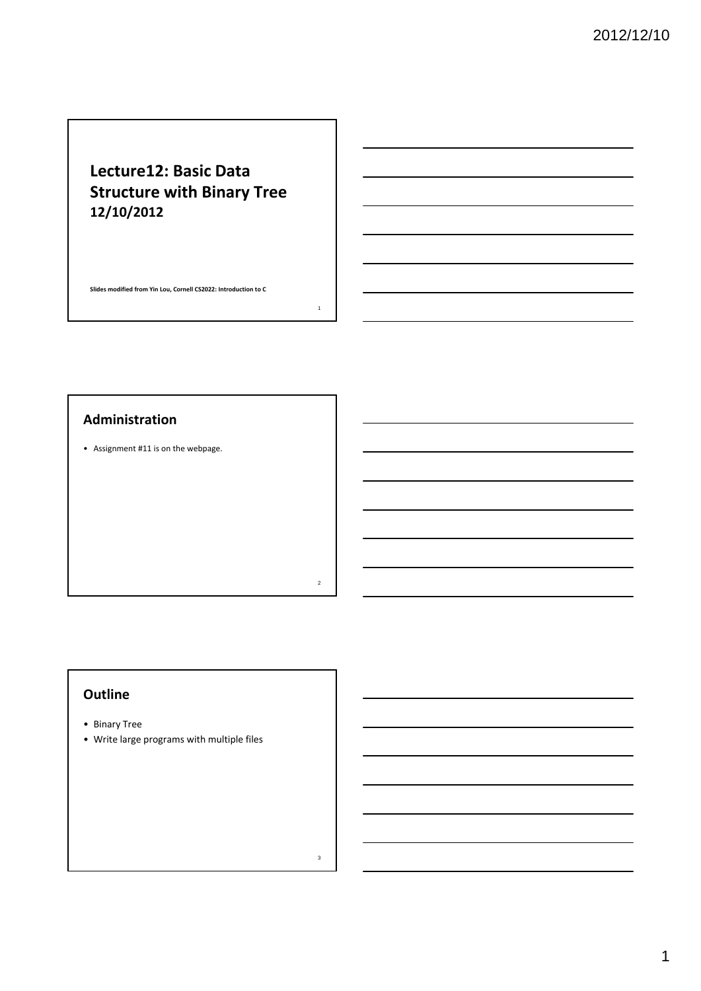# **Lecture12: Basic Data Structure with Binary Tree 12/10/2012**

**Slides modified from Yin Lou, Cornell CS2022: Introduction to C**

1

2

3

## **Administration**

• Assignment #11 is on the webpage.

## **Outline**

- Binary Tree
- Write large programs with multiple files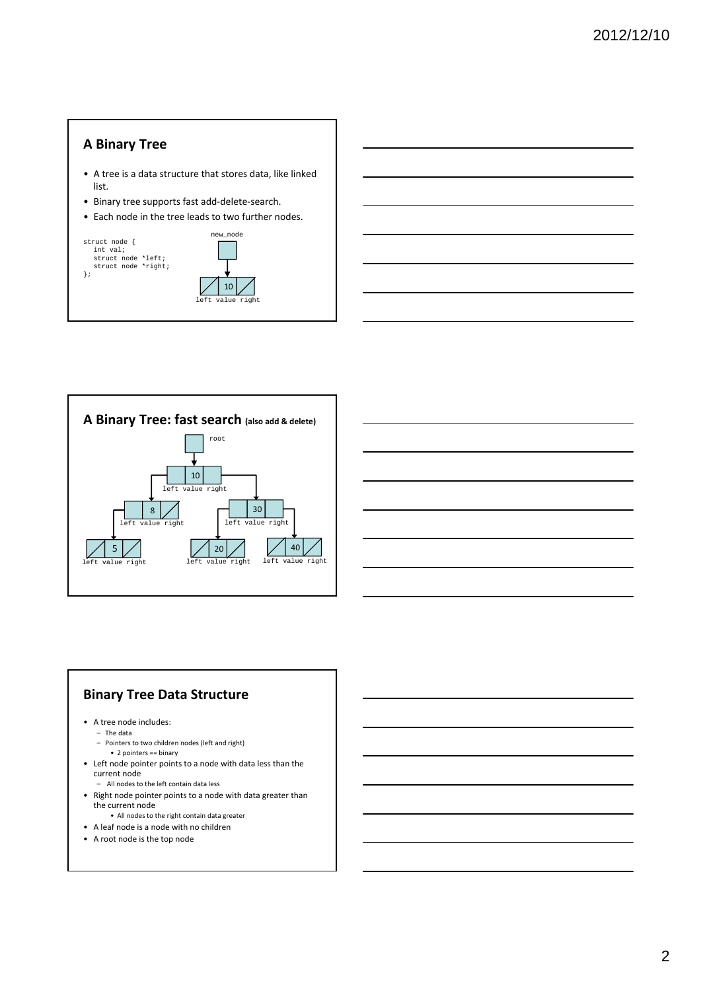# **A Binary Tree**

- A tree is a data structure that stores data, like linked list.
- Binary tree supports fast add‐delete‐search.
- Each node in the tree leads to two further nodes.



### **Binary Tree Data Structure**

- A tree node includes:
	- The data
	- Pointers to two children nodes (left and right)
	- 2 pointers == binary
- Left node pointer points to a node with data less than the current node
	- All nodes to the left contain data less
- Right node pointer points to a node with data greater than the current node
- All nodes to the right contain data greater
- A leaf node is a node with no children
- A root node is the top node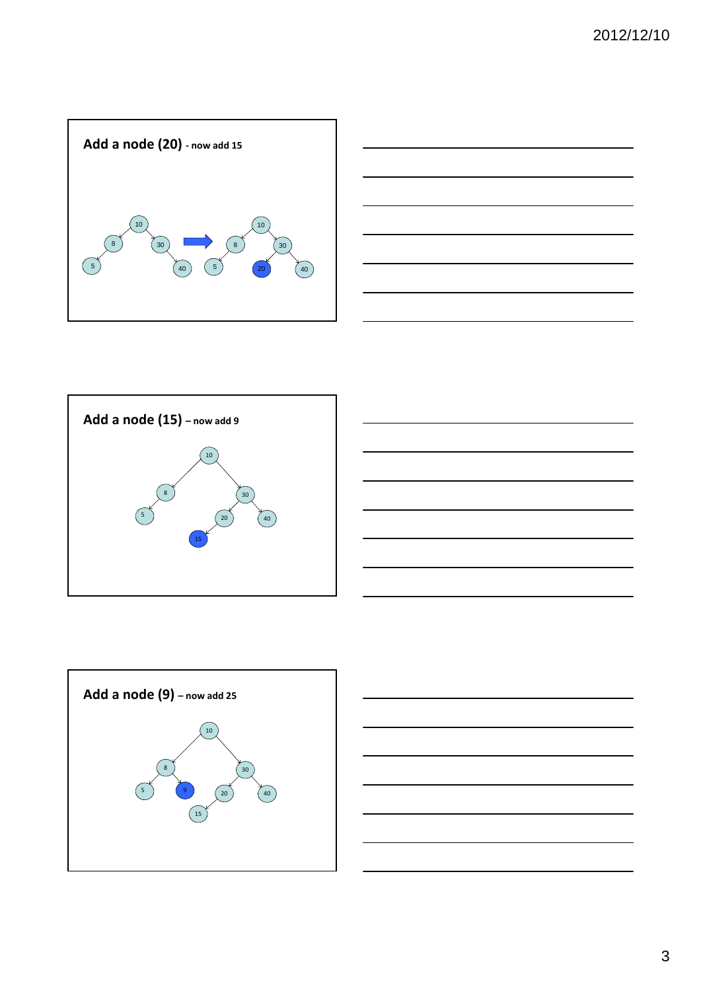









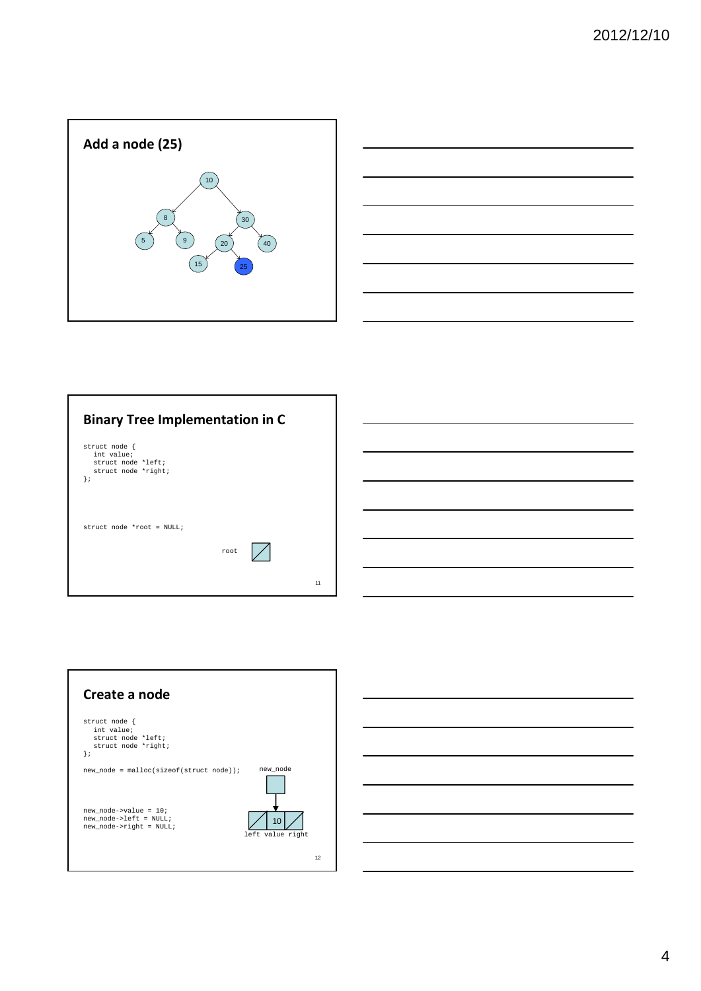



| <b>Binary Tree Implementation in C</b>                                         |      |    |
|--------------------------------------------------------------------------------|------|----|
| struct node {<br>int value;<br>struct node *left;<br>struct node *right;<br>}; |      |    |
| struct node *root = NULL;                                                      | root | 11 |



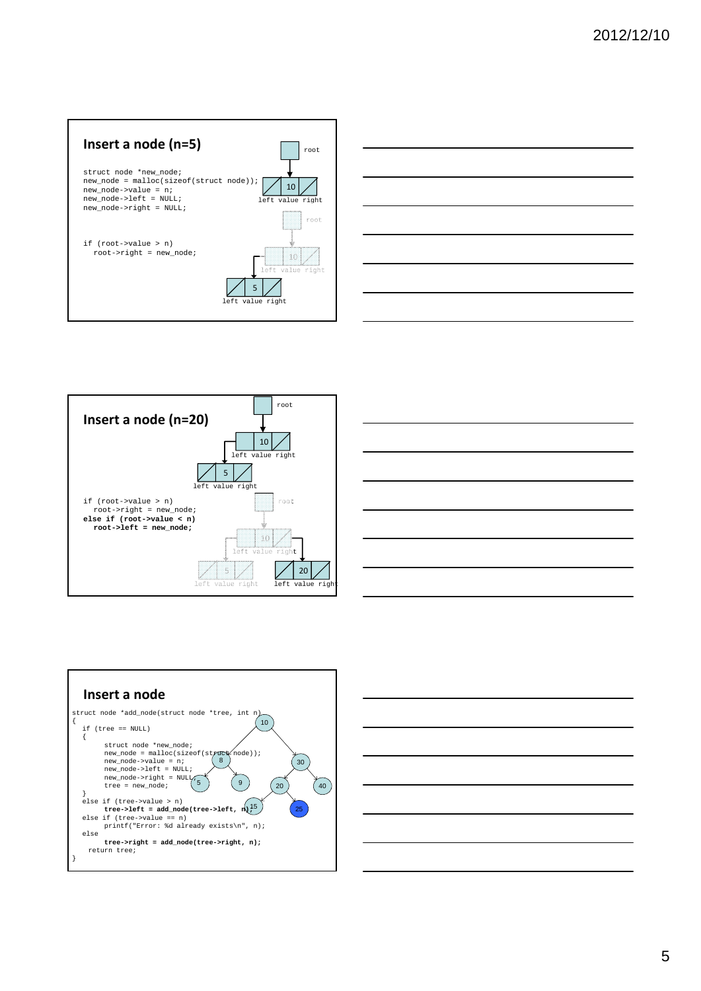









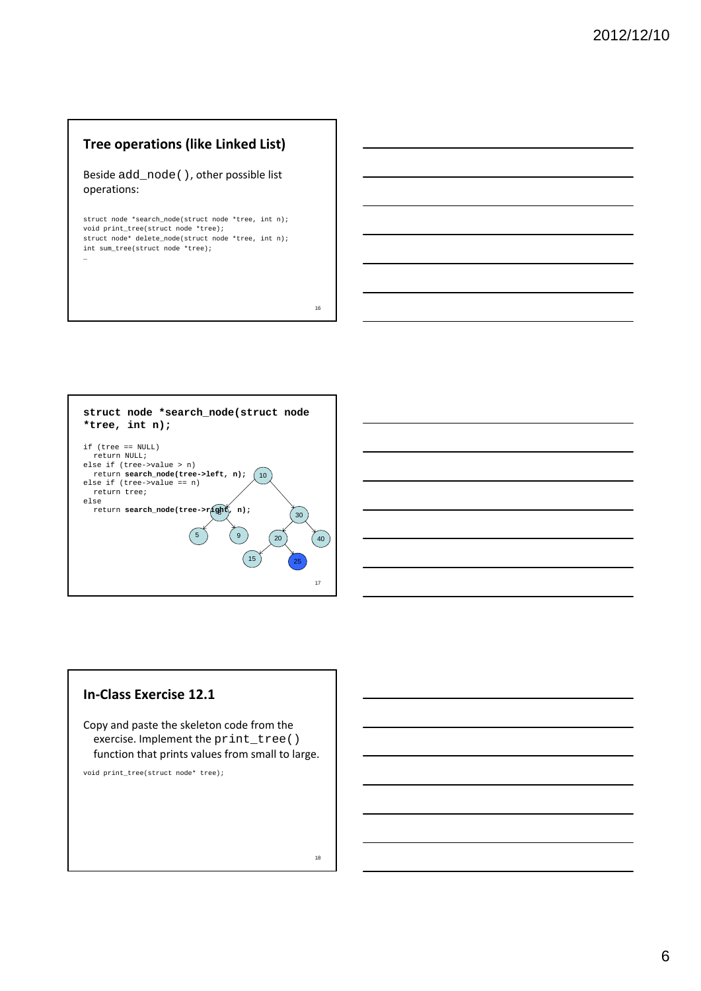# **Tree operations (like Linked List)**

Beside add\_node(), other possible list operations:

struct node \*search\_node(struct\_node \*tree, int n); void print\_tree(struct node \*tree); struct node\* delete\_node(struct node \*tree, int n); int sum\_tree(struct node \*tree); …

16

18



### **In‐Class Exercise 12.1**

Copy and paste the skeleton code from the exercise. Implement the print\_tree() function that prints values from small to large.

void print\_tree(struct node\* tree);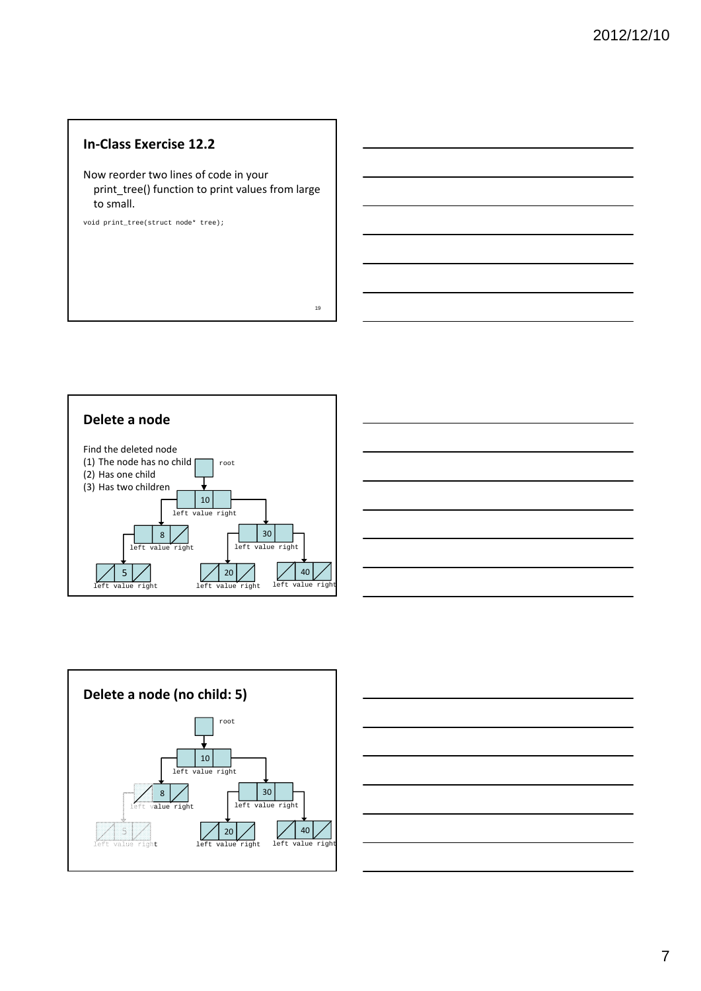## **In‐Class Exercise 12.2**

Now reorder two lines of code in your print\_tree() function to print values from large to small.

void print\_tree(struct node\* tree);







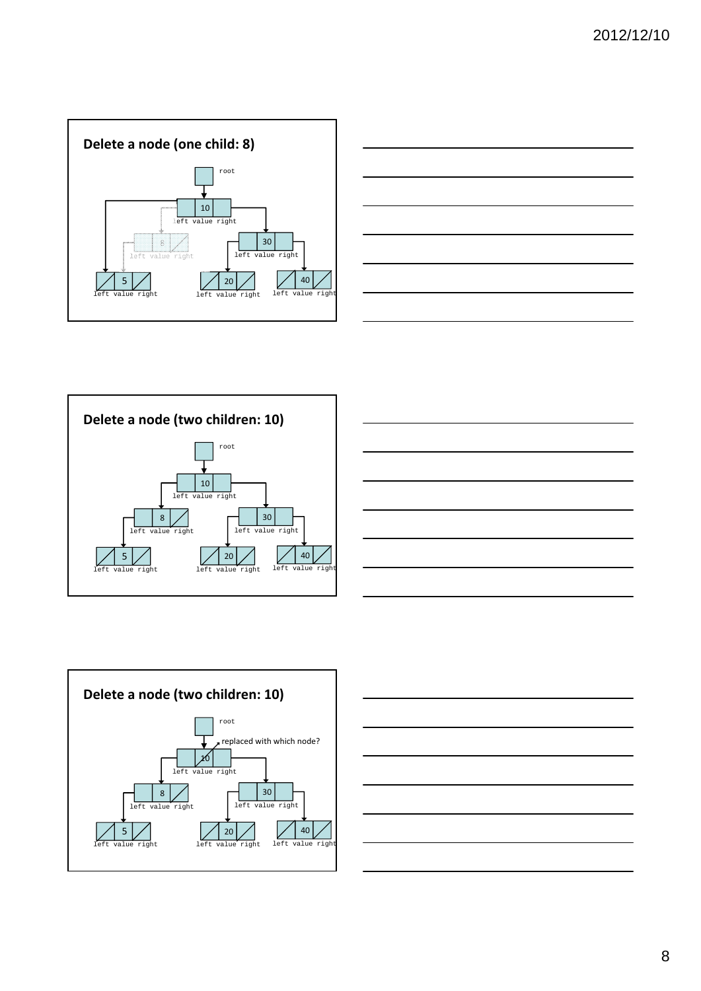









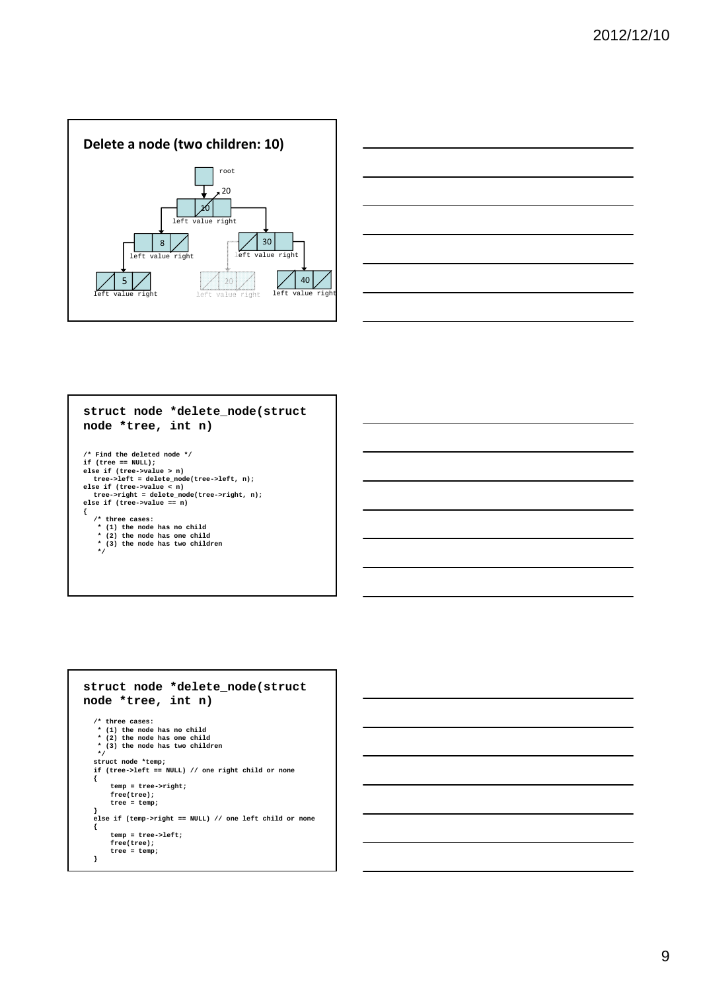

![](_page_8_Figure_2.jpeg)

# **struct node \*delete\_node(struct node \*tree, int n)**

```
/* Find the deleted node */
if (tree == NULL);
else if (tree->value > n)
tree->left = delete_node(tree->left, n);
else if (tree->value < n)
tree->right = delete_node(tree->right, n);
else if (tree->value == n)
{
      /* three cases:
* (1) the node has no child
* (2) the node has one child
        * (3) the node has two children
*/
```
#### **struct node \*delete\_node(struct node \*tree, int n) /\* three cases: \* (1) the node has no child \* (2) the node has one child \* (3) the node has two children \*/ struct node \*temp; if (tree->left == NULL) // one right child or none { temp = tree->right; free(tree); tree = temp; } else if (temp->right == NULL) // one left child or none { temp = tree->left; free(tree); tree = temp; }**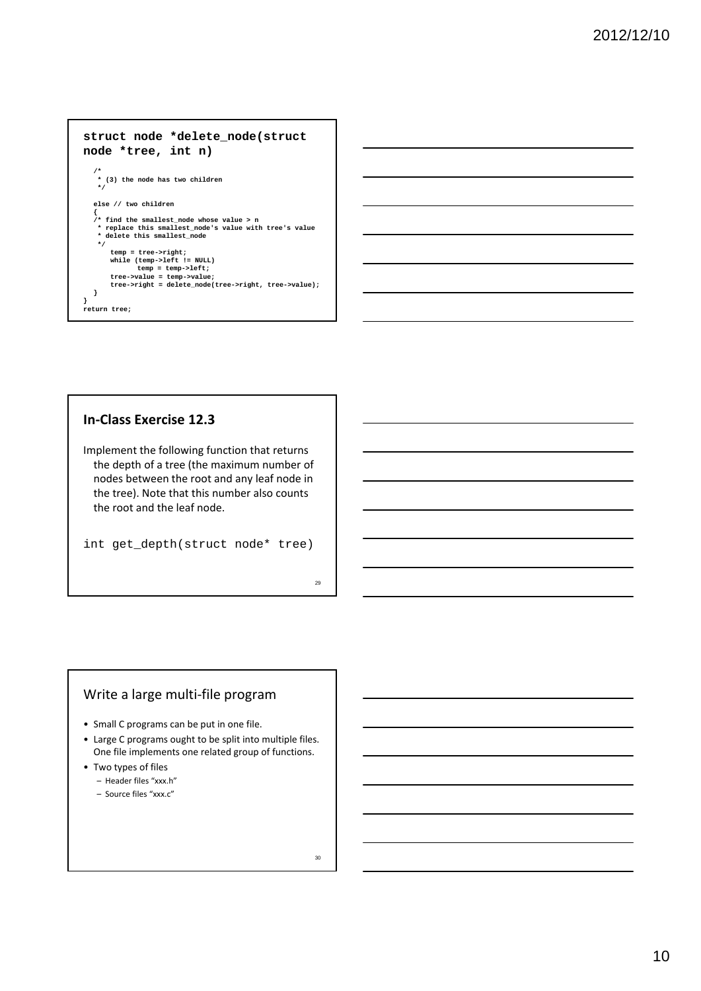### **struct node \*delete\_node(struct node \*tree, int n) /\* \* (3) the node has two children \*/ else // two children { /\* find the smallest\_node whose value > n \* replace this smallest\_node's value with tree's value \* delete this smallest\_node \*/ temp = tree->right;** while (temp->left != NULL)<br>tree->value = temp->left;<br>tree->value = temp->value;<br>tree->right = delete\_node(tree->right, tree->value); **} } return tree;**

### **In‐Class Exercise 12.3**

Implement the following function that returns the depth of a tree (the maximum number of nodes between the root and any leaf node in the tree). Note that this number also counts the root and the leaf node.

int get\_depth(struct node\* tree)

### Write a large multi‐file program

- Small C programs can be put in one file.
- Large C programs ought to be split into multiple files. One file implements one related group of functions.
- Two types of files
	- Header files "xxx.h"
	- Source files "xxx.c"

30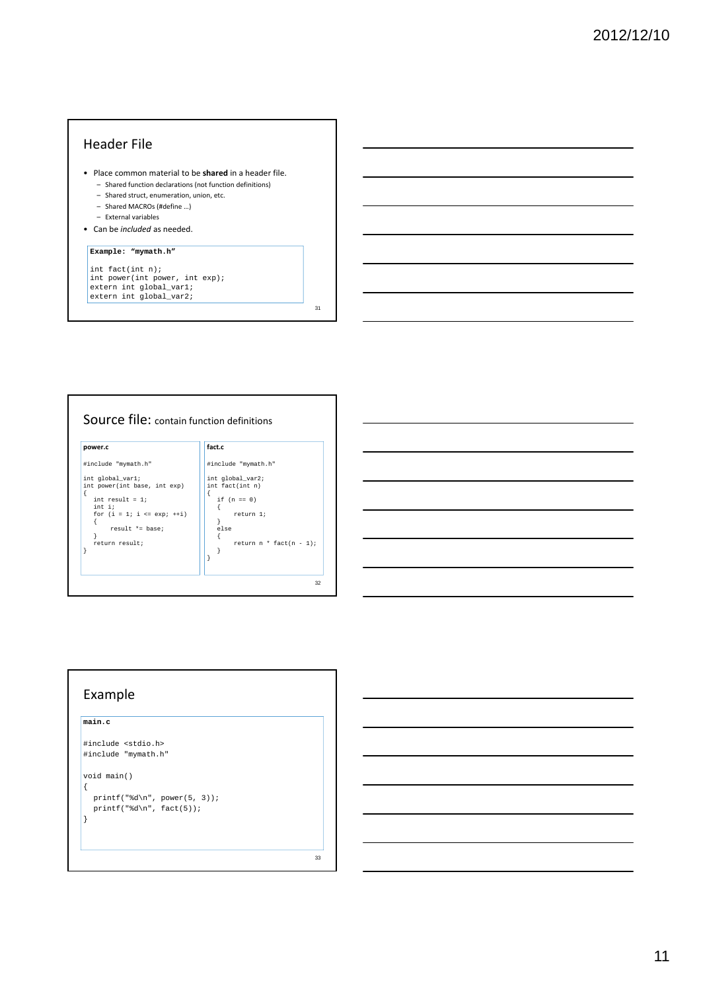### Header File

- Place common material to be **shared** in a header file. – Shared function declarations (not function definitions)
	- Shared struct, enumeration, union, etc.
	- Shared MACROs (#define …)
	- External variables
- Can be *included* as needed.

### **Example: "mymath.h"**

int fact(int n);<br>int power(int power, int exp);<br>extern int global\_var1;<br>extern int global\_var2;

![](_page_10_Figure_9.jpeg)

![](_page_10_Figure_10.jpeg)

### Example

### **main.c**

```
#include <stdio.h>
#include "mymath.h"
```
void main() {

```
\texttt{printf}("d\nu", \texttt{power(5, 3)});printf("d\nu", fact(5));}
```
33